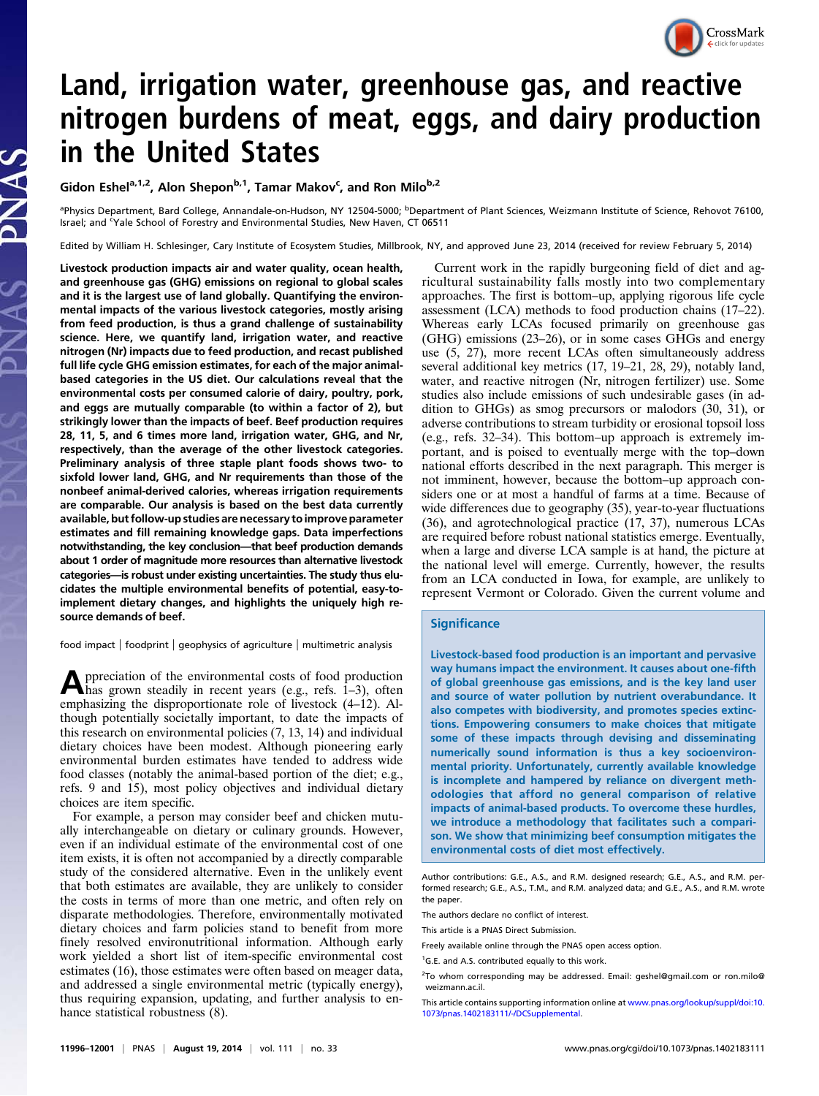

# Land, irrigation water, greenhouse gas, and reactive nitrogen burdens of meat, eggs, and dairy production in the United States

Gidon Eshel<sup>a,1,2</sup>, Alon Shepon<sup>b,1</sup>, Tamar Makov<sup>c</sup>, and Ron Milo<sup>b,2</sup>

<sup>a</sup>Physics Department, Bard College, Annandale-on-Hudson, NY 12504-5000; <sup>b</sup>Department of Plant Sciences, Weizmann Institute of Science, Rehovot 76100, Israel; and <sup>c</sup>Yale School of Forestry and Environmental Studies, New Haven, CT 06511

Edited by William H. Schlesinger, Cary Institute of Ecosystem Studies, Millbrook, NY, and approved June 23, 2014 (received for review February 5, 2014)

Livestock production impacts air and water quality, ocean health, and greenhouse gas (GHG) emissions on regional to global scales and it is the largest use of land globally. Quantifying the environmental impacts of the various livestock categories, mostly arising from feed production, is thus a grand challenge of sustainability science. Here, we quantify land, irrigation water, and reactive nitrogen (Nr) impacts due to feed production, and recast published full life cycle GHG emission estimates, for each of the major animalbased categories in the US diet. Our calculations reveal that the environmental costs per consumed calorie of dairy, poultry, pork, and eggs are mutually comparable (to within a factor of 2), but strikingly lower than the impacts of beef. Beef production requires 28, 11, 5, and 6 times more land, irrigation water, GHG, and Nr, respectively, than the average of the other livestock categories. Preliminary analysis of three staple plant foods shows two- to sixfold lower land, GHG, and Nr requirements than those of the nonbeef animal-derived calories, whereas irrigation requirements are comparable. Our analysis is based on the best data currently available, but follow-up studies are necessary to improve parameter estimates and fill remaining knowledge gaps. Data imperfections notwithstanding, the key conclusion—that beef production demands about 1 order of magnitude more resources than alternative livestock categories—is robust under existing uncertainties. The study thus elucidates the multiple environmental benefits of potential, easy-toimplement dietary changes, and highlights the uniquely high resource demands of beef.

food impact | foodprint | geophysics of agriculture | multimetric analysis

Appreciation of the environmental costs of food production<br>has grown steadily in recent years (e.g., refs. 1–3), often emphasizing the disproportionate role of livestock (4–12). Although potentially societally important, to date the impacts of this research on environmental policies (7, 13, 14) and individual dietary choices have been modest. Although pioneering early environmental burden estimates have tended to address wide food classes (notably the animal-based portion of the diet; e.g., refs. 9 and 15), most policy objectives and individual dietary choices are item specific.

For example, a person may consider beef and chicken mutually interchangeable on dietary or culinary grounds. However, even if an individual estimate of the environmental cost of one item exists, it is often not accompanied by a directly comparable study of the considered alternative. Even in the unlikely event that both estimates are available, they are unlikely to consider the costs in terms of more than one metric, and often rely on disparate methodologies. Therefore, environmentally motivated dietary choices and farm policies stand to benefit from more finely resolved environutritional information. Although early work yielded a short list of item-specific environmental cost estimates (16), those estimates were often based on meager data, and addressed a single environmental metric (typically energy), thus requiring expansion, updating, and further analysis to enhance statistical robustness (8).

Current work in the rapidly burgeoning field of diet and agricultural sustainability falls mostly into two complementary approaches. The first is bottom–up, applying rigorous life cycle assessment (LCA) methods to food production chains (17–22). Whereas early LCAs focused primarily on greenhouse gas (GHG) emissions (23–26), or in some cases GHGs and energy use (5, 27), more recent LCAs often simultaneously address several additional key metrics (17, 19–21, 28, 29), notably land, water, and reactive nitrogen (Nr, nitrogen fertilizer) use. Some studies also include emissions of such undesirable gases (in addition to GHGs) as smog precursors or malodors (30, 31), or adverse contributions to stream turbidity or erosional topsoil loss (e.g., refs. 32–34). This bottom–up approach is extremely important, and is poised to eventually merge with the top–down national efforts described in the next paragraph. This merger is not imminent, however, because the bottom–up approach considers one or at most a handful of farms at a time. Because of wide differences due to geography (35), year-to-year fluctuations (36), and agrotechnological practice (17, 37), numerous LCAs are required before robust national statistics emerge. Eventually, when a large and diverse LCA sample is at hand, the picture at the national level will emerge. Currently, however, the results from an LCA conducted in Iowa, for example, are unlikely to represent Vermont or Colorado. Given the current volume and

## **Significance**

Livestock-based food production is an important and pervasive way humans impact the environment. It causes about one-fifth of global greenhouse gas emissions, and is the key land user and source of water pollution by nutrient overabundance. It also competes with biodiversity, and promotes species extinctions. Empowering consumers to make choices that mitigate some of these impacts through devising and disseminating numerically sound information is thus a key socioenvironmental priority. Unfortunately, currently available knowledge is incomplete and hampered by reliance on divergent methodologies that afford no general comparison of relative impacts of animal-based products. To overcome these hurdles, we introduce a methodology that facilitates such a comparison. We show that minimizing beef consumption mitigates the environmental costs of diet most effectively.

The authors declare no conflict of interest.

This article is a PNAS Direct Submission.

Author contributions: G.E., A.S., and R.M. designed research; G.E., A.S., and R.M. performed research; G.E., A.S., T.M., and R.M. analyzed data; and G.E., A.S., and R.M. wrote the paper.

Freely available online through the PNAS open access option.

<sup>&</sup>lt;sup>1</sup>G.E. and A.S. contributed equally to this work.

<sup>&</sup>lt;sup>2</sup>To whom corresponding may be addressed. Email: [geshel@gmail.com](mailto:geshel@gmail.com) or [ron.milo@](mailto:ron.milo@weizmann.ac.il) [weizmann.ac.il.](mailto:ron.milo@weizmann.ac.il)

This article contains supporting information online at [www.pnas.org/lookup/suppl/doi:10.](http://www.pnas.org/lookup/suppl/doi:10.1073/pnas.1402183111/-/DCSupplemental) [1073/pnas.1402183111/-/DCSupplemental.](http://www.pnas.org/lookup/suppl/doi:10.1073/pnas.1402183111/-/DCSupplemental)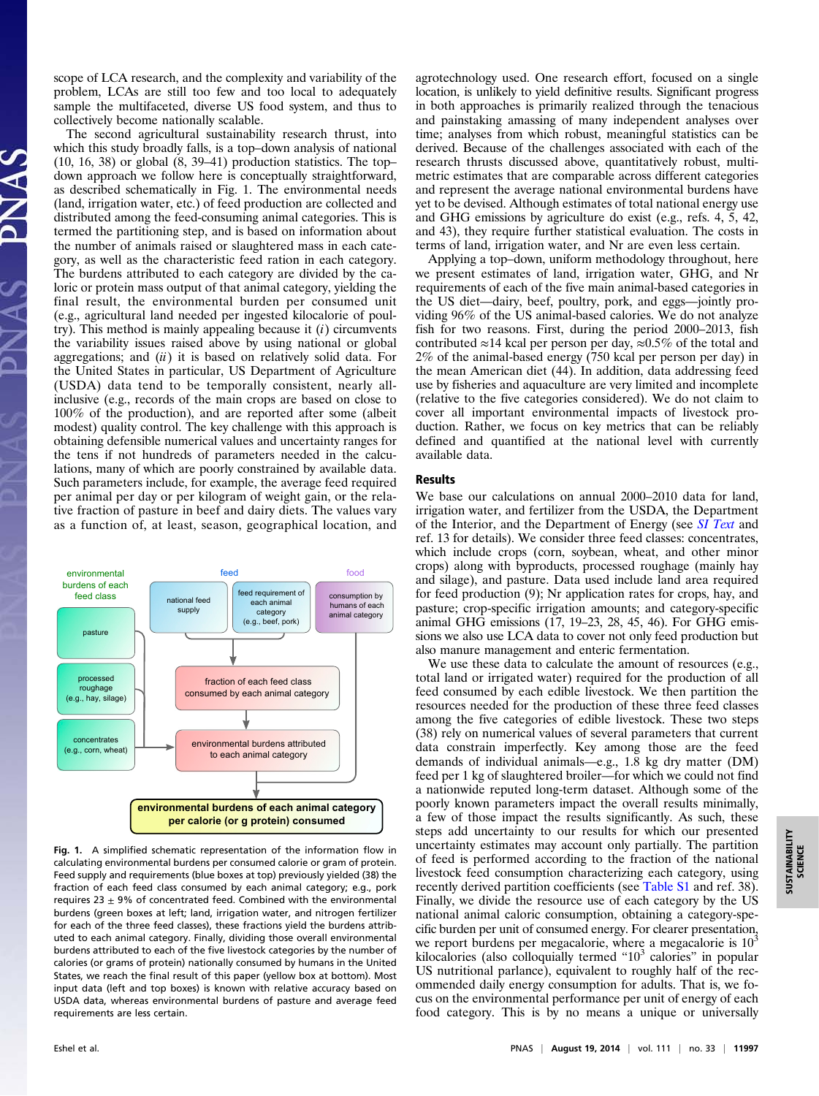scope of LCA research, and the complexity and variability of the problem, LCAs are still too few and too local to adequately sample the multifaceted, diverse US food system, and thus to collectively become nationally scalable.

The second agricultural sustainability research thrust, into which this study broadly falls, is a top–down analysis of national  $(10, 16, 38)$  or global  $(8, 39-41)$  production statistics. The top– down approach we follow here is conceptually straightforward, as described schematically in Fig. 1. The environmental needs (land, irrigation water, etc.) of feed production are collected and distributed among the feed-consuming animal categories. This is termed the partitioning step, and is based on information about the number of animals raised or slaughtered mass in each category, as well as the characteristic feed ration in each category. The burdens attributed to each category are divided by the caloric or protein mass output of that animal category, yielding the final result, the environmental burden per consumed unit (e.g., agricultural land needed per ingested kilocalorie of poultry). This method is mainly appealing because it  $(i)$  circumvents the variability issues raised above by using national or global aggregations; and  $(ii)$  it is based on relatively solid data. For the United States in particular, US Department of Agriculture (USDA) data tend to be temporally consistent, nearly allinclusive (e.g., records of the main crops are based on close to 100% of the production), and are reported after some (albeit modest) quality control. The key challenge with this approach is obtaining defensible numerical values and uncertainty ranges for the tens if not hundreds of parameters needed in the calculations, many of which are poorly constrained by available data. Such parameters include, for example, the average feed required per animal per day or per kilogram of weight gain, or the relative fraction of pasture in beef and dairy diets. The values vary as a function of, at least, season, geographical location, and



Fig. 1. A simplified schematic representation of the information flow in calculating environmental burdens per consumed calorie or gram of protein. Feed supply and requirements (blue boxes at top) previously yielded (38) the fraction of each feed class consumed by each animal category; e.g., pork requires 23  $\pm$  9% of concentrated feed. Combined with the environmental burdens (green boxes at left; land, irrigation water, and nitrogen fertilizer for each of the three feed classes), these fractions yield the burdens attributed to each animal category. Finally, dividing those overall environmental burdens attributed to each of the five livestock categories by the number of calories (or grams of protein) nationally consumed by humans in the United States, we reach the final result of this paper (yellow box at bottom). Most input data (left and top boxes) is known with relative accuracy based on USDA data, whereas environmental burdens of pasture and average feed requirements are less certain.

agrotechnology used. One research effort, focused on a single location, is unlikely to yield definitive results. Significant progress in both approaches is primarily realized through the tenacious and painstaking amassing of many independent analyses over time; analyses from which robust, meaningful statistics can be derived. Because of the challenges associated with each of the research thrusts discussed above, quantitatively robust, multimetric estimates that are comparable across different categories and represent the average national environmental burdens have yet to be devised. Although estimates of total national energy use and GHG emissions by agriculture do exist (e.g., refs. 4, 5, 42, and 43), they require further statistical evaluation. The costs in terms of land, irrigation water, and Nr are even less certain.

Applying a top–down, uniform methodology throughout, here we present estimates of land, irrigation water, GHG, and Nr requirements of each of the five main animal-based categories in the US diet—dairy, beef, poultry, pork, and eggs—jointly providing 96% of the US animal-based calories. We do not analyze fish for two reasons. First, during the period 2000–2013, fish contributed  $\approx$ 14 kcal per person per day,  $\approx$ 0.5% of the total and 2% of the animal-based energy (750 kcal per person per day) in the mean American diet (44). In addition, data addressing feed use by fisheries and aquaculture are very limited and incomplete (relative to the five categories considered). We do not claim to cover all important environmental impacts of livestock production. Rather, we focus on key metrics that can be reliably defined and quantified at the national level with currently available data.

# Results

We base our calculations on annual 2000–2010 data for land, irrigation water, and fertilizer from the USDA, the Department of the Interior, and the Department of Energy (see *[SI Text](http://www.pnas.org/lookup/suppl/doi:10.1073/pnas.1402183111/-/DCSupplemental/pnas.201402183SI.pdf?targetid=nameddest=STXT)* and ref. 13 for details). We consider three feed classes: concentrates, which include crops (corn, soybean, wheat, and other minor crops) along with byproducts, processed roughage (mainly hay and silage), and pasture. Data used include land area required for feed production (9); Nr application rates for crops, hay, and pasture; crop-specific irrigation amounts; and category-specific animal GHG emissions (17, 19–23, 28, 45, 46). For GHG emissions we also use LCA data to cover not only feed production but also manure management and enteric fermentation.

We use these data to calculate the amount of resources (e.g., total land or irrigated water) required for the production of all feed consumed by each edible livestock. We then partition the resources needed for the production of these three feed classes among the five categories of edible livestock. These two steps (38) rely on numerical values of several parameters that current data constrain imperfectly. Key among those are the feed demands of individual animals—e.g., 1.8 kg dry matter (DM) feed per 1 kg of slaughtered broiler—for which we could not find a nationwide reputed long-term dataset. Although some of the poorly known parameters impact the overall results minimally, a few of those impact the results significantly. As such, these steps add uncertainty to our results for which our presented uncertainty estimates may account only partially. The partition of feed is performed according to the fraction of the national livestock feed consumption characterizing each category, using recently derived partition coefficients (see [Table S1](http://www.pnas.org/lookup/suppl/doi:10.1073/pnas.1402183111/-/DCSupplemental/pnas.201402183SI.pdf?targetid=nameddest=ST1) and ref. 38). Finally, we divide the resource use of each category by the US national animal caloric consumption, obtaining a category-specific burden per unit of consumed energy. For clearer presentation, we report burdens per megacalorie, where a megacalorie is  $10^3$ kilocalories (also colloquially termed " $10<sup>3</sup>$  calories" in popular US nutritional parlance), equivalent to roughly half of the recommended daily energy consumption for adults. That is, we focus on the environmental performance per unit of energy of each food category. This is by no means a unique or universally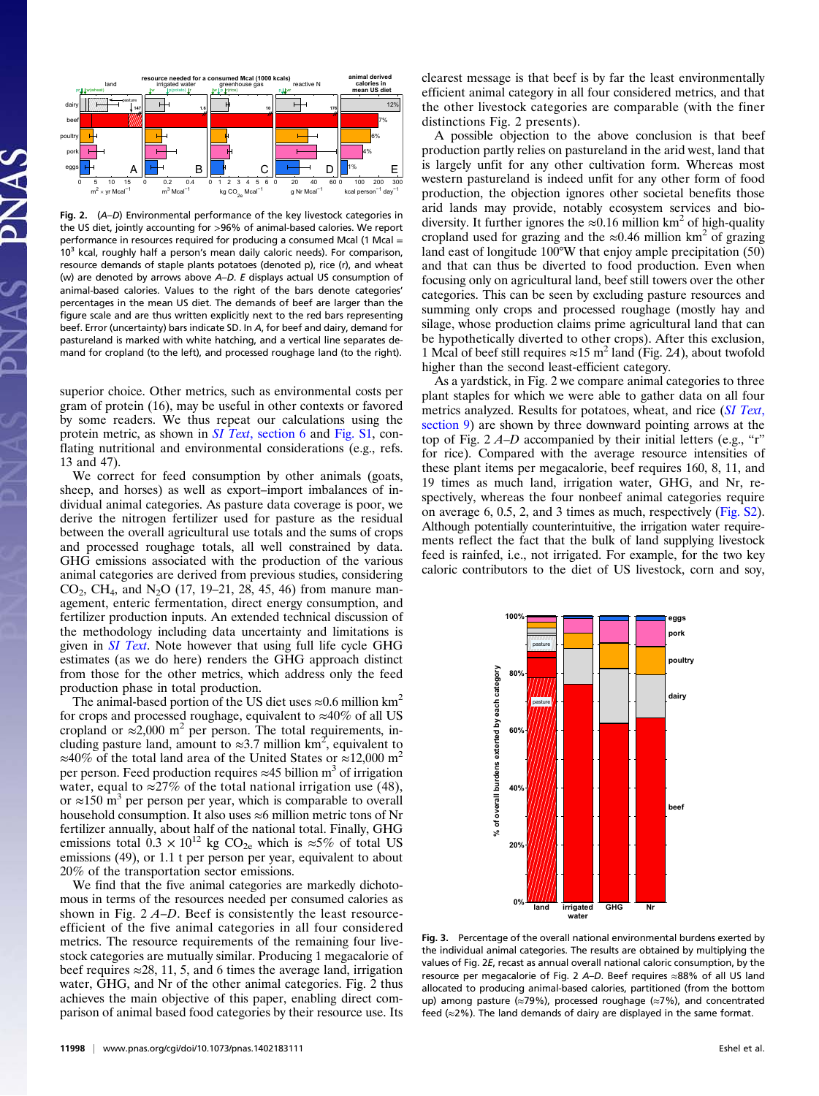

Fig. 2. (A–D) Environmental performance of the key livestock categories in the US diet, jointly accounting for >96% of animal-based calories. We report performance in resources required for producing a consumed Mcal (1 Mcal =  $10<sup>3</sup>$  kcal, roughly half a person's mean daily caloric needs). For comparison, resource demands of staple plants potatoes (denoted p), rice (r), and wheat (w) are denoted by arrows above A–D. E displays actual US consumption of animal-based calories. Values to the right of the bars denote categories' percentages in the mean US diet. The demands of beef are larger than the figure scale and are thus written explicitly next to the red bars representing beef. Error (uncertainty) bars indicate SD. In A, for beef and dairy, demand for pastureland is marked with white hatching, and a vertical line separates demand for cropland (to the left), and processed roughage land (to the right).

superior choice. Other metrics, such as environmental costs per gram of protein (16), may be useful in other contexts or favored by some readers. We thus repeat our calculations using the protein metric, as shown in *SI Text*[, section 6](http://www.pnas.org/lookup/suppl/doi:10.1073/pnas.1402183111/-/DCSupplemental/pnas.201402183SI.pdf?targetid=nameddest=STXT) and [Fig. S1,](http://www.pnas.org/lookup/suppl/doi:10.1073/pnas.1402183111/-/DCSupplemental/pnas.201402183SI.pdf?targetid=nameddest=SF1) conflating nutritional and environmental considerations (e.g., refs. 13 and 47).

We correct for feed consumption by other animals (goats, sheep, and horses) as well as export–import imbalances of individual animal categories. As pasture data coverage is poor, we derive the nitrogen fertilizer used for pasture as the residual between the overall agricultural use totals and the sums of crops and processed roughage totals, all well constrained by data. GHG emissions associated with the production of the various animal categories are derived from previous studies, considering  $CO_2$ , CH<sub>4</sub>, and N<sub>2</sub>O (17, 19–21, 28, 45, 46) from manure management, enteric fermentation, direct energy consumption, and fertilizer production inputs. An extended technical discussion of the methodology including data uncertainty and limitations is given in [SI Text](http://www.pnas.org/lookup/suppl/doi:10.1073/pnas.1402183111/-/DCSupplemental/pnas.201402183SI.pdf?targetid=nameddest=STXT). Note however that using full life cycle GHG estimates (as we do here) renders the GHG approach distinct from those for the other metrics, which address only the feed production phase in total production.

The animal-based portion of the US diet uses  $\approx 0.6$  million km<sup>2</sup> for crops and processed roughage, equivalent to  $\approx 40\%$  of all US cropland or  $\approx 2,000$  m<sup>2</sup> per person. The total requirements, including pasture land, amount to  $\approx 3.7$  million km<sup>2</sup>, equivalent to  $\approx$ 40% of the total land area of the United States or  $\approx$ 12,000 m<sup>2</sup> per person. Feed production requires  $\approx$ 45 billion m<sup>3</sup> of irrigation water, equal to  $\approx$ 27% of the total national irrigation use (48), or  $\approx 150$  m<sup>3</sup> per person per year, which is comparable to overall household consumption. It also uses  $\approx$ 6 million metric tons of Nr fertilizer annually, about half of the national total. Finally, GHG emissions total  $0.3 \times 10^{12}$  kg CO<sub>2e</sub> which is ≈5% of total US emissions (49), or 1.1 t per person per year, equivalent to about 20% of the transportation sector emissions.

We find that the five animal categories are markedly dichotomous in terms of the resources needed per consumed calories as shown in Fig.  $2A-D$ . Beef is consistently the least resourceefficient of the five animal categories in all four considered metrics. The resource requirements of the remaining four livestock categories are mutually similar. Producing 1 megacalorie of beef requires  $\approx$  28, 11, 5, and 6 times the average land, irrigation water, GHG, and Nr of the other animal categories. Fig. 2 thus achieves the main objective of this paper, enabling direct comparison of animal based food categories by their resource use. Its

clearest message is that beef is by far the least environmentally efficient animal category in all four considered metrics, and that the other livestock categories are comparable (with the finer distinctions Fig. 2 presents).

A possible objection to the above conclusion is that beef production partly relies on pastureland in the arid west, land that is largely unfit for any other cultivation form. Whereas most western pastureland is indeed unfit for any other form of food production, the objection ignores other societal benefits those arid lands may provide, notably ecosystem services and biodiversity. It further ignores the  $\approx 0.16$  million km<sup>2</sup> of high-quality cropland used for grazing and the  $\approx 0.46$  million km<sup>2</sup> of grazing land east of longitude 100°W that enjoy ample precipitation (50) and that can thus be diverted to food production. Even when focusing only on agricultural land, beef still towers over the other categories. This can be seen by excluding pasture resources and summing only crops and processed roughage (mostly hay and silage, whose production claims prime agricultural land that can be hypothetically diverted to other crops). After this exclusion, 1 Mcal of beef still requires  $\approx 15$  m<sup>2</sup> land (Fig. 24), about twofold higher than the second least-efficient category.

As a yardstick, in Fig. 2 we compare animal categories to three plant staples for which we were able to gather data on all four metrics analyzed. Results for potatoes, wheat, and rice ([SI Text](http://www.pnas.org/lookup/suppl/doi:10.1073/pnas.1402183111/-/DCSupplemental/pnas.201402183SI.pdf?targetid=nameddest=STXT), [section 9\)](http://www.pnas.org/lookup/suppl/doi:10.1073/pnas.1402183111/-/DCSupplemental/pnas.201402183SI.pdf?targetid=nameddest=STXT) are shown by three downward pointing arrows at the top of Fig.  $2A-D$  accompanied by their initial letters (e.g., "r" for rice). Compared with the average resource intensities of these plant items per megacalorie, beef requires 160, 8, 11, and 19 times as much land, irrigation water, GHG, and Nr, respectively, whereas the four nonbeef animal categories require on average 6, 0.5, 2, and 3 times as much, respectively [\(Fig. S2\)](http://www.pnas.org/lookup/suppl/doi:10.1073/pnas.1402183111/-/DCSupplemental/pnas.201402183SI.pdf?targetid=nameddest=SF2). Although potentially counterintuitive, the irrigation water requirements reflect the fact that the bulk of land supplying livestock feed is rainfed, i.e., not irrigated. For example, for the two key caloric contributors to the diet of US livestock, corn and soy,



Fig. 3. Percentage of the overall national environmental burdens exerted by the individual animal categories. The results are obtained by multiplying the values of Fig. 2E, recast as annual overall national caloric consumption, by the resource per megacalorie of Fig. 2 A–D. Beef requires ≈88% of all US land allocated to producing animal-based calories, partitioned (from the bottom up) among pasture (≈79%), processed roughage (≈7%), and concentrated feed (≈2%). The land demands of dairy are displayed in the same format.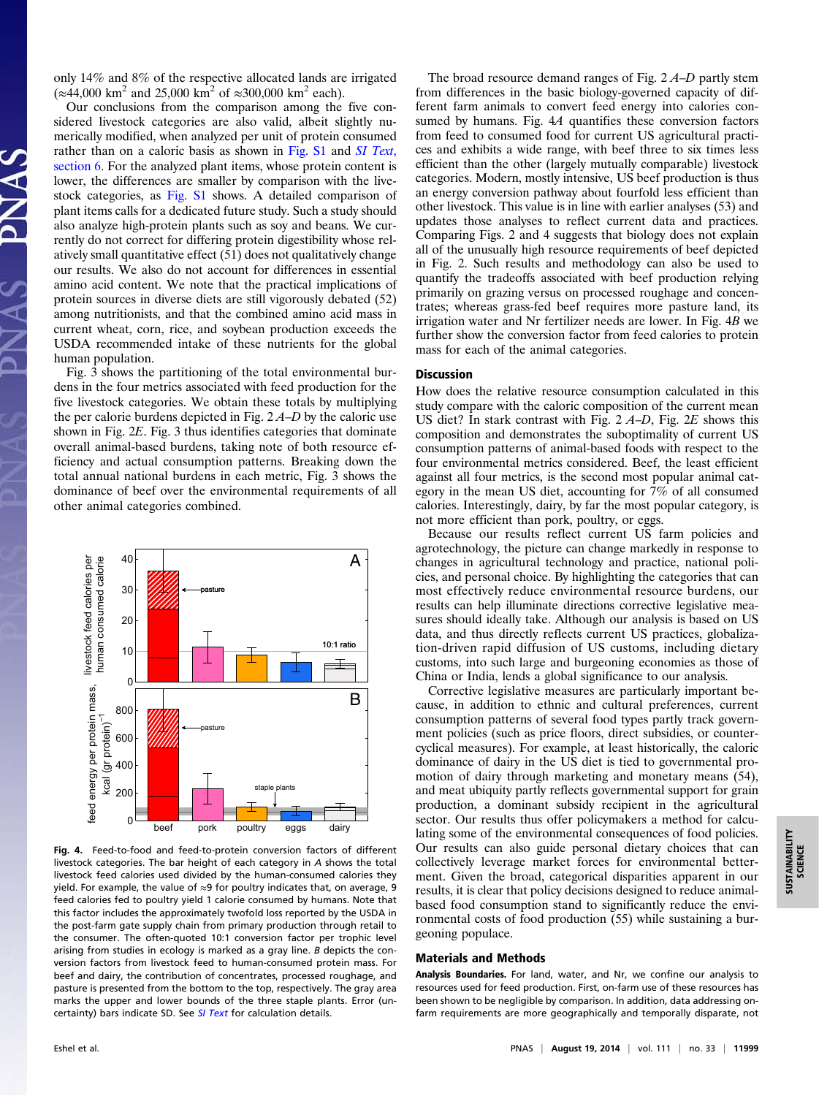only 14% and 8% of the respective allocated lands are irrigated  $(\approx 44,000 \text{ km}^2 \text{ and } 25,000 \text{ km}^2 \text{ of } \approx 300,000 \text{ km}^2 \text{ each}).$ 

Our conclusions from the comparison among the five considered livestock categories are also valid, albeit slightly numerically modified, when analyzed per unit of protein consumed rather than on a caloric basis as shown in [Fig. S1](http://www.pnas.org/lookup/suppl/doi:10.1073/pnas.1402183111/-/DCSupplemental/pnas.201402183SI.pdf?targetid=nameddest=SF1) and *[SI Text](http://www.pnas.org/lookup/suppl/doi:10.1073/pnas.1402183111/-/DCSupplemental/pnas.201402183SI.pdf?targetid=nameddest=STXT)*, [section 6](http://www.pnas.org/lookup/suppl/doi:10.1073/pnas.1402183111/-/DCSupplemental/pnas.201402183SI.pdf?targetid=nameddest=STXT). For the analyzed plant items, whose protein content is lower, the differences are smaller by comparison with the livestock categories, as [Fig. S1](http://www.pnas.org/lookup/suppl/doi:10.1073/pnas.1402183111/-/DCSupplemental/pnas.201402183SI.pdf?targetid=nameddest=SF1) shows. A detailed comparison of plant items calls for a dedicated future study. Such a study should also analyze high-protein plants such as soy and beans. We currently do not correct for differing protein digestibility whose relatively small quantitative effect (51) does not qualitatively change our results. We also do not account for differences in essential amino acid content. We note that the practical implications of protein sources in diverse diets are still vigorously debated (52) among nutritionists, and that the combined amino acid mass in current wheat, corn, rice, and soybean production exceeds the USDA recommended intake of these nutrients for the global human population.

Fig. 3 shows the partitioning of the total environmental burdens in the four metrics associated with feed production for the five livestock categories. We obtain these totals by multiplying the per calorie burdens depicted in Fig.  $2A-D$  by the caloric use shown in Fig. 2E. Fig. 3 thus identifies categories that dominate overall animal-based burdens, taking note of both resource efficiency and actual consumption patterns. Breaking down the total annual national burdens in each metric, Fig. 3 shows the dominance of beef over the environmental requirements of all other animal categories combined.



Fig. 4. Feed-to-food and feed-to-protein conversion factors of different livestock categories. The bar height of each category in A shows the total livestock feed calories used divided by the human-consumed calories they yield. For example, the value of  $\approx$ 9 for poultry indicates that, on average, 9 feed calories fed to poultry yield 1 calorie consumed by humans. Note that this factor includes the approximately twofold loss reported by the USDA in the post-farm gate supply chain from primary production through retail to the consumer. The often-quoted 10:1 conversion factor per trophic level arising from studies in ecology is marked as a gray line. B depicts the conversion factors from livestock feed to human-consumed protein mass. For beef and dairy, the contribution of concentrates, processed roughage, and pasture is presented from the bottom to the top, respectively. The gray area marks the upper and lower bounds of the three staple plants. Error (un-certainty) bars indicate SD. See [SI Text](http://www.pnas.org/lookup/suppl/doi:10.1073/pnas.1402183111/-/DCSupplemental/pnas.201402183SI.pdf?targetid=nameddest=STXT) for calculation details.

The broad resource demand ranges of Fig. 2 A–D partly stem from differences in the basic biology-governed capacity of different farm animals to convert feed energy into calories consumed by humans. Fig. 4A quantifies these conversion factors from feed to consumed food for current US agricultural practices and exhibits a wide range, with beef three to six times less efficient than the other (largely mutually comparable) livestock categories. Modern, mostly intensive, US beef production is thus an energy conversion pathway about fourfold less efficient than other livestock. This value is in line with earlier analyses (53) and updates those analyses to reflect current data and practices. Comparing Figs. 2 and 4 suggests that biology does not explain all of the unusually high resource requirements of beef depicted in Fig. 2. Such results and methodology can also be used to quantify the tradeoffs associated with beef production relying primarily on grazing versus on processed roughage and concentrates; whereas grass-fed beef requires more pasture land, its irrigation water and Nr fertilizer needs are lower. In Fig. 4B we further show the conversion factor from feed calories to protein mass for each of the animal categories.

#### Discussion

How does the relative resource consumption calculated in this study compare with the caloric composition of the current mean US diet? In stark contrast with Fig.  $2A-D$ , Fig.  $2E$  shows this composition and demonstrates the suboptimality of current US consumption patterns of animal-based foods with respect to the four environmental metrics considered. Beef, the least efficient against all four metrics, is the second most popular animal category in the mean US diet, accounting for 7% of all consumed calories. Interestingly, dairy, by far the most popular category, is not more efficient than pork, poultry, or eggs.

Because our results reflect current US farm policies and agrotechnology, the picture can change markedly in response to changes in agricultural technology and practice, national policies, and personal choice. By highlighting the categories that can most effectively reduce environmental resource burdens, our results can help illuminate directions corrective legislative measures should ideally take. Although our analysis is based on US data, and thus directly reflects current US practices, globalization-driven rapid diffusion of US customs, including dietary customs, into such large and burgeoning economies as those of China or India, lends a global significance to our analysis.

Corrective legislative measures are particularly important because, in addition to ethnic and cultural preferences, current consumption patterns of several food types partly track government policies (such as price floors, direct subsidies, or countercyclical measures). For example, at least historically, the caloric dominance of dairy in the US diet is tied to governmental promotion of dairy through marketing and monetary means (54), and meat ubiquity partly reflects governmental support for grain production, a dominant subsidy recipient in the agricultural sector. Our results thus offer policymakers a method for calculating some of the environmental consequences of food policies. Our results can also guide personal dietary choices that can collectively leverage market forces for environmental betterment. Given the broad, categorical disparities apparent in our results, it is clear that policy decisions designed to reduce animalbased food consumption stand to significantly reduce the environmental costs of food production (55) while sustaining a burgeoning populace.

## Materials and Methods

Analysis Boundaries. For land, water, and Nr, we confine our analysis to resources used for feed production. First, on-farm use of these resources has been shown to be negligible by comparison. In addition, data addressing onfarm requirements are more geographically and temporally disparate, not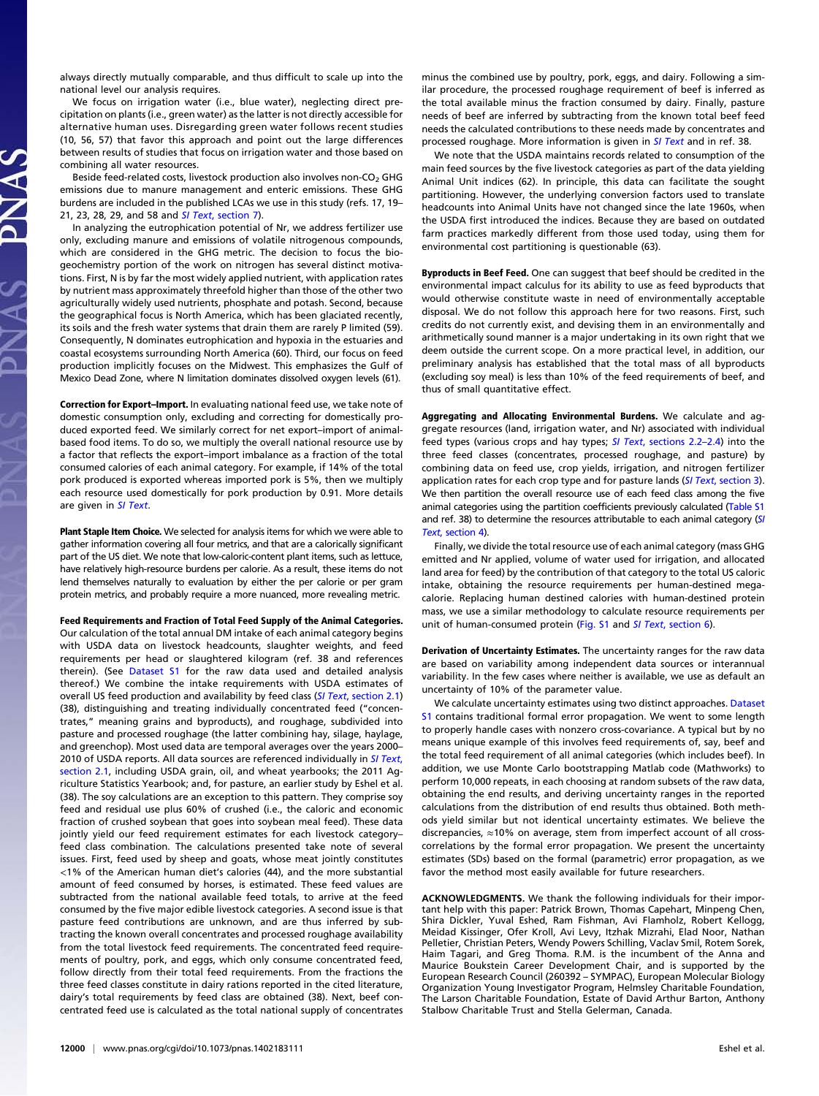always directly mutually comparable, and thus difficult to scale up into the national level our analysis requires.

We focus on irrigation water (i.e., blue water), neglecting direct precipitation on plants (i.e., green water) as the latter is not directly accessible for alternative human uses. Disregarding green water follows recent studies (10, 56, 57) that favor this approach and point out the large differences between results of studies that focus on irrigation water and those based on combining all water resources.

Beside feed-related costs, livestock production also involves non-CO<sub>2</sub> GHG emissions due to manure management and enteric emissions. These GHG burdens are included in the published LCAs we use in this study (refs. 17, 19– 21, 23, 28, 29, and 58 and *SI Text*[, section 7](http://www.pnas.org/lookup/suppl/doi:10.1073/pnas.1402183111/-/DCSupplemental/pnas.201402183SI.pdf?targetid=nameddest=STXT)).

In analyzing the eutrophication potential of Nr, we address fertilizer use only, excluding manure and emissions of volatile nitrogenous compounds, which are considered in the GHG metric. The decision to focus the biogeochemistry portion of the work on nitrogen has several distinct motivations. First, N is by far the most widely applied nutrient, with application rates by nutrient mass approximately threefold higher than those of the other two agriculturally widely used nutrients, phosphate and potash. Second, because the geographical focus is North America, which has been glaciated recently, its soils and the fresh water systems that drain them are rarely P limited (59). Consequently, N dominates eutrophication and hypoxia in the estuaries and coastal ecosystems surrounding North America (60). Third, our focus on feed production implicitly focuses on the Midwest. This emphasizes the Gulf of Mexico Dead Zone, where N limitation dominates dissolved oxygen levels (61).

Correction for Export–Import. In evaluating national feed use, we take note of domestic consumption only, excluding and correcting for domestically produced exported feed. We similarly correct for net export–import of animalbased food items. To do so, we multiply the overall national resource use by a factor that reflects the export–import imbalance as a fraction of the total consumed calories of each animal category. For example, if 14% of the total pork produced is exported whereas imported pork is 5%, then we multiply each resource used domestically for pork production by 0.91. More details are given in [SI Text](http://www.pnas.org/lookup/suppl/doi:10.1073/pnas.1402183111/-/DCSupplemental/pnas.201402183SI.pdf?targetid=nameddest=STXT).

Plant Staple Item Choice. We selected for analysis items for which we were able to gather information covering all four metrics, and that are a calorically significant part of the US diet. We note that low-caloric-content plant items, such as lettuce, have relatively high-resource burdens per calorie. As a result, these items do not lend themselves naturally to evaluation by either the per calorie or per gram protein metrics, and probably require a more nuanced, more revealing metric.

Feed Requirements and Fraction of Total Feed Supply of the Animal Categories.

Our calculation of the total annual DM intake of each animal category begins with USDA data on livestock headcounts, slaughter weights, and feed requirements per head or slaughtered kilogram (ref. 38 and references therein). (See [Dataset S1](http://www.pnas.org/lookup/suppl/doi:10.1073/pnas.1402183111/-/DCSupplemental/pnas.1402183111.sd01.xlsx) for the raw data used and detailed analysis thereof.) We combine the intake requirements with USDA estimates of overall US feed production and availability by feed class (SI Text[, section 2.1\)](http://www.pnas.org/lookup/suppl/doi:10.1073/pnas.1402183111/-/DCSupplemental/pnas.201402183SI.pdf?targetid=nameddest=STXT) (38), distinguishing and treating individually concentrated feed ("concentrates," meaning grains and byproducts), and roughage, subdivided into pasture and processed roughage (the latter combining hay, silage, haylage, and greenchop). Most used data are temporal averages over the years 2000– 2010 of USDA reports. All data sources are referenced individually in [SI Text](http://www.pnas.org/lookup/suppl/doi:10.1073/pnas.1402183111/-/DCSupplemental/pnas.201402183SI.pdf?targetid=nameddest=STXT), [section 2.1,](http://www.pnas.org/lookup/suppl/doi:10.1073/pnas.1402183111/-/DCSupplemental/pnas.201402183SI.pdf?targetid=nameddest=STXT) including USDA grain, oil, and wheat yearbooks; the 2011 Agriculture Statistics Yearbook; and, for pasture, an earlier study by Eshel et al. (38). The soy calculations are an exception to this pattern. They comprise soy feed and residual use plus 60% of crushed (i.e., the caloric and economic fraction of crushed soybean that goes into soybean meal feed). These data jointly yield our feed requirement estimates for each livestock category– feed class combination. The calculations presented take note of several issues. First, feed used by sheep and goats, whose meat jointly constitutes <1% of the American human diet's calories (44), and the more substantial amount of feed consumed by horses, is estimated. These feed values are subtracted from the national available feed totals, to arrive at the feed consumed by the five major edible livestock categories. A second issue is that pasture feed contributions are unknown, and are thus inferred by subtracting the known overall concentrates and processed roughage availability from the total livestock feed requirements. The concentrated feed requirements of poultry, pork, and eggs, which only consume concentrated feed, follow directly from their total feed requirements. From the fractions the three feed classes constitute in dairy rations reported in the cited literature, dairy's total requirements by feed class are obtained (38). Next, beef concentrated feed use is calculated as the total national supply of concentrates

minus the combined use by poultry, pork, eggs, and dairy. Following a similar procedure, the processed roughage requirement of beef is inferred as the total available minus the fraction consumed by dairy. Finally, pasture needs of beef are inferred by subtracting from the known total beef feed needs the calculated contributions to these needs made by concentrates and processed roughage. More information is given in **[SI Text](http://www.pnas.org/lookup/suppl/doi:10.1073/pnas.1402183111/-/DCSupplemental/pnas.201402183SI.pdf?targetid=nameddest=STXT)** and in ref. 38.

We note that the USDA maintains records related to consumption of the main feed sources by the five livestock categories as part of the data yielding Animal Unit indices (62). In principle, this data can facilitate the sought partitioning. However, the underlying conversion factors used to translate headcounts into Animal Units have not changed since the late 1960s, when the USDA first introduced the indices. Because they are based on outdated farm practices markedly different from those used today, using them for environmental cost partitioning is questionable (63).

Byproducts in Beef Feed. One can suggest that beef should be credited in the environmental impact calculus for its ability to use as feed byproducts that would otherwise constitute waste in need of environmentally acceptable disposal. We do not follow this approach here for two reasons. First, such credits do not currently exist, and devising them in an environmentally and arithmetically sound manner is a major undertaking in its own right that we deem outside the current scope. On a more practical level, in addition, our preliminary analysis has established that the total mass of all byproducts (excluding soy meal) is less than 10% of the feed requirements of beef, and thus of small quantitative effect.

Aggregating and Allocating Environmental Burdens. We calculate and aggregate resources (land, irrigation water, and Nr) associated with individual feed types (various crops and hay types; SI Text[, sections 2.2](http://www.pnas.org/lookup/suppl/doi:10.1073/pnas.1402183111/-/DCSupplemental/pnas.201402183SI.pdf?targetid=nameddest=STXT)-[2.4\)](http://www.pnas.org/lookup/suppl/doi:10.1073/pnas.1402183111/-/DCSupplemental/pnas.201402183SI.pdf?targetid=nameddest=STXT) into the three feed classes (concentrates, processed roughage, and pasture) by combining data on feed use, crop yields, irrigation, and nitrogen fertilizer application rates for each crop type and for pasture lands (SI Text[, section 3](http://www.pnas.org/lookup/suppl/doi:10.1073/pnas.1402183111/-/DCSupplemental/pnas.201402183SI.pdf?targetid=nameddest=STXT)). We then partition the overall resource use of each feed class among the five animal categories using the partition coefficients previously calculated ([Table S1](http://www.pnas.org/lookup/suppl/doi:10.1073/pnas.1402183111/-/DCSupplemental/pnas.201402183SI.pdf?targetid=nameddest=ST1) and ref. 38) to determine the resources attributable to each animal category ([SI](http://www.pnas.org/lookup/suppl/doi:10.1073/pnas.1402183111/-/DCSupplemental/pnas.201402183SI.pdf?targetid=nameddest=STXT) Text[, section 4\)](http://www.pnas.org/lookup/suppl/doi:10.1073/pnas.1402183111/-/DCSupplemental/pnas.201402183SI.pdf?targetid=nameddest=STXT).

Finally, we divide the total resource use of each animal category (mass GHG emitted and Nr applied, volume of water used for irrigation, and allocated land area for feed) by the contribution of that category to the total US caloric intake, obtaining the resource requirements per human-destined megacalorie. Replacing human destined calories with human-destined protein mass, we use a similar methodology to calculate resource requirements per unit of human-consumed protein [\(Fig. S1](http://www.pnas.org/lookup/suppl/doi:10.1073/pnas.1402183111/-/DCSupplemental/pnas.201402183SI.pdf?targetid=nameddest=SF1) and SI Text[, section 6](http://www.pnas.org/lookup/suppl/doi:10.1073/pnas.1402183111/-/DCSupplemental/pnas.201402183SI.pdf?targetid=nameddest=STXT)).

Derivation of Uncertainty Estimates. The uncertainty ranges for the raw data are based on variability among independent data sources or interannual variability. In the few cases where neither is available, we use as default an uncertainty of 10% of the parameter value.

We calculate uncertainty estimates using two distinct approaches. [Dataset](http://www.pnas.org/lookup/suppl/doi:10.1073/pnas.1402183111/-/DCSupplemental/pnas.1402183111.sd01.xlsx) [S1](http://www.pnas.org/lookup/suppl/doi:10.1073/pnas.1402183111/-/DCSupplemental/pnas.1402183111.sd01.xlsx) contains traditional formal error propagation. We went to some length to properly handle cases with nonzero cross-covariance. A typical but by no means unique example of this involves feed requirements of, say, beef and the total feed requirement of all animal categories (which includes beef). In addition, we use Monte Carlo bootstrapping Matlab code (Mathworks) to perform 10,000 repeats, in each choosing at random subsets of the raw data, obtaining the end results, and deriving uncertainty ranges in the reported calculations from the distribution of end results thus obtained. Both methods yield similar but not identical uncertainty estimates. We believe the discrepancies, ≈10% on average, stem from imperfect account of all crosscorrelations by the formal error propagation. We present the uncertainty estimates (SDs) based on the formal (parametric) error propagation, as we favor the method most easily available for future researchers.

ACKNOWLEDGMENTS. We thank the following individuals for their important help with this paper: Patrick Brown, Thomas Capehart, Minpeng Chen, Shira Dickler, Yuval Eshed, Ram Fishman, Avi Flamholz, Robert Kellogg, Meidad Kissinger, Ofer Kroll, Avi Levy, Itzhak Mizrahi, Elad Noor, Nathan Pelletier, Christian Peters, Wendy Powers Schilling, Vaclav Smil, Rotem Sorek, Haim Tagari, and Greg Thoma. R.M. is the incumbent of the Anna and Maurice Boukstein Career Development Chair, and is supported by the European Research Council (260392 – SYMPAC), European Molecular Biology Organization Young Investigator Program, Helmsley Charitable Foundation, The Larson Charitable Foundation, Estate of David Arthur Barton, Anthony Stalbow Charitable Trust and Stella Gelerman, Canada.